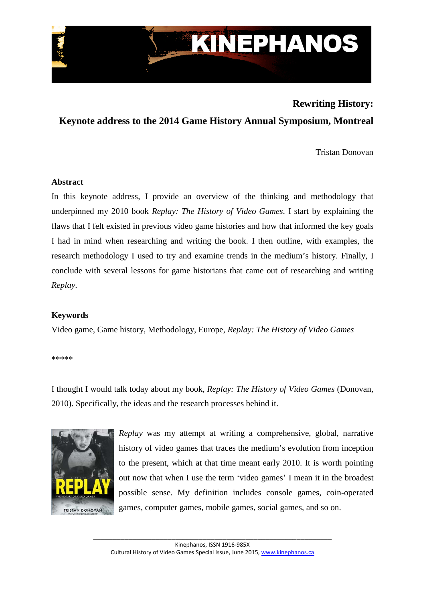

# **Rewriting History:**

**Keynote address to the 2014 Game History Annual Symposium, Montreal**

Tristan Donovan

## **Abstract**

In this keynote address, I provide an overview of the thinking and methodology that underpinned my 2010 book *Replay: The History of Video Games*. I start by explaining the flaws that I felt existed in previous video game histories and how that informed the key goals I had in mind when researching and writing the book. I then outline, with examples, the research methodology I used to try and examine trends in the medium's history. Finally, I conclude with several lessons for game historians that came out of researching and writing *Replay*.

## **Keywords**

Video game, Game history, Methodology, Europe, *Replay: The History of Video Games*

\*\*\*\*\*

I thought I would talk today about my book, *Replay: The History of Video Games* (Donovan, 2010). Specifically, the ideas and the research processes behind it.



*Replay* was my attempt at writing a comprehensive, global, narrative history of video games that traces the medium's evolution from inception to the present, which at that time meant early 2010. It is worth pointing out now that when I use the term 'video games' I mean it in the broadest possible sense. My definition includes console games, coin-operated games, computer games, mobile games, social games, and so on.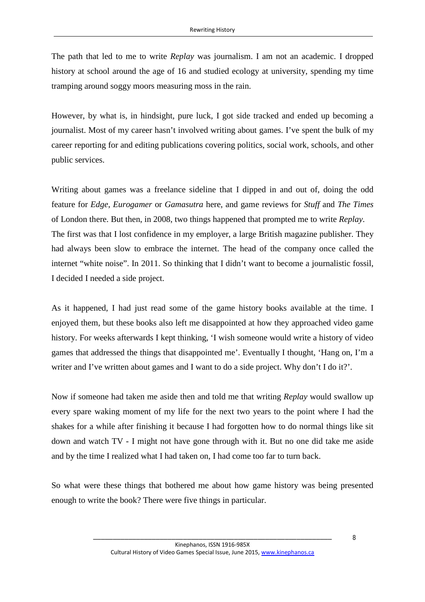The path that led to me to write *Replay* was journalism. I am not an academic. I dropped history at school around the age of 16 and studied ecology at university, spending my time tramping around soggy moors measuring moss in the rain.

However, by what is, in hindsight, pure luck, I got side tracked and ended up becoming a journalist. Most of my career hasn't involved writing about games. I've spent the bulk of my career reporting for and editing publications covering politics, social work, schools, and other public services.

Writing about games was a freelance sideline that I dipped in and out of, doing the odd feature for *Edge*, *Eurogamer* or *Gamasutra* here, and game reviews for *Stuff* and *The Times* of London there. But then, in 2008, two things happened that prompted me to write *Replay*. The first was that I lost confidence in my employer, a large British magazine publisher. They had always been slow to embrace the internet. The head of the company once called the internet "white noise". In 2011. So thinking that I didn't want to become a journalistic fossil, I decided I needed a side project.

As it happened, I had just read some of the game history books available at the time. I enjoyed them, but these books also left me disappointed at how they approached video game history. For weeks afterwards I kept thinking, 'I wish someone would write a history of video games that addressed the things that disappointed me'. Eventually I thought, 'Hang on, I'm a writer and I've written about games and I want to do a side project. Why don't I do it?'.

Now if someone had taken me aside then and told me that writing *Replay* would swallow up every spare waking moment of my life for the next two years to the point where I had the shakes for a while after finishing it because I had forgotten how to do normal things like sit down and watch TV - I might not have gone through with it. But no one did take me aside and by the time I realized what I had taken on, I had come too far to turn back.

So what were these things that bothered me about how game history was being presented enough to write the book? There were five things in particular.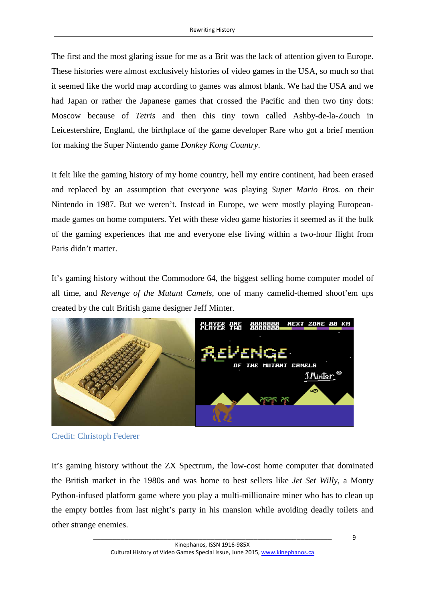The first and the most glaring issue for me as a Brit was the lack of attention given to Europe. These histories were almost exclusively histories of video games in the USA, so much so that it seemed like the world map according to games was almost blank. We had the USA and we had Japan or rather the Japanese games that crossed the Pacific and then two tiny dots: Moscow because of *Tetris* and then this tiny town called Ashby-de-la-Zouch in Leicestershire, England, the birthplace of the game developer Rare who got a brief mention for making the Super Nintendo game *Donkey Kong Country*.

It felt like the gaming history of my home country, hell my entire continent, had been erased and replaced by an assumption that everyone was playing *Super Mario Bros.* on their Nintendo in 1987. But we weren't. Instead in Europe, we were mostly playing Europeanmade games on home computers. Yet with these video game histories it seemed as if the bulk of the gaming experiences that me and everyone else living within a two-hour flight from Paris didn't matter.

It's gaming history without the Commodore 64, the biggest selling home computer model of all time, and *Revenge of the Mutant Camels*, one of many camelid-themed shoot'em ups created by the cult British game designer Jeff Minter.



Credit: Christoph Federer

It's gaming history without the ZX Spectrum, the low-cost home computer that dominated the British market in the 1980s and was home to best sellers like *Jet Set Willy*, a Monty Python-infused platform game where you play a multi-millionaire miner who has to clean up the empty bottles from last night's party in his mansion while avoiding deadly toilets and other strange enemies.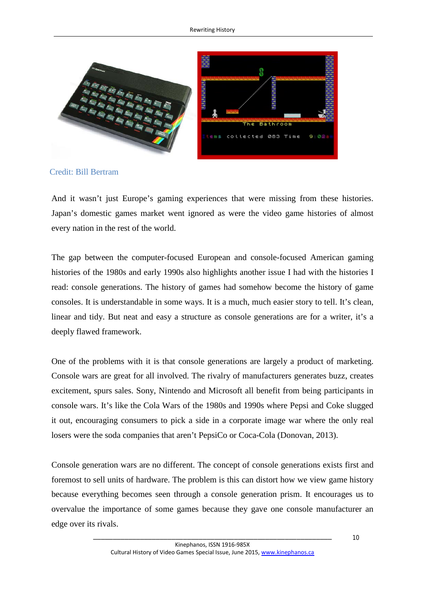

Credit: Bill Bertram

And it wasn't just Europe's gaming experiences that were missing from these histories. Japan's domestic games market went ignored as were the video game histories of almost every nation in the rest of the world.

The gap between the computer-focused European and console-focused American gaming histories of the 1980s and early 1990s also highlights another issue I had with the histories I read: console generations. The history of games had somehow become the history of game consoles. It is understandable in some ways. It is a much, much easier story to tell. It's clean, linear and tidy. But neat and easy a structure as console generations are for a writer, it's a deeply flawed framework.

One of the problems with it is that console generations are largely a product of marketing. Console wars are great for all involved. The rivalry of manufacturers generates buzz, creates excitement, spurs sales. Sony, Nintendo and Microsoft all benefit from being participants in console wars. It's like the Cola Wars of the 1980s and 1990s where Pepsi and Coke slugged it out, encouraging consumers to pick a side in a corporate image war where the only real losers were the soda companies that aren't PepsiCo or Coca-Cola (Donovan, 2013).

Console generation wars are no different. The concept of console generations exists first and foremost to sell units of hardware. The problem is this can distort how we view game history because everything becomes seen through a console generation prism. It encourages us to overvalue the importance of some games because they gave one console manufacturer an edge over its rivals.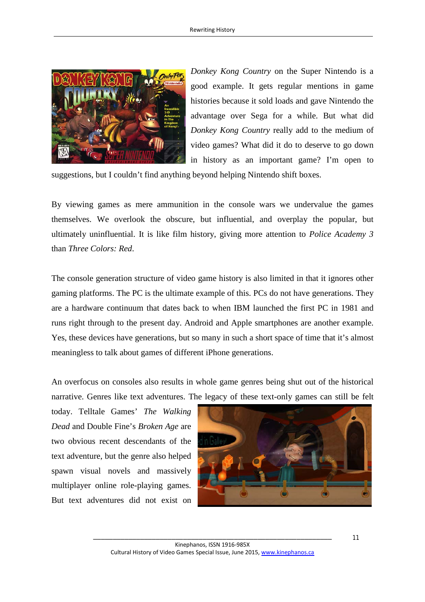

*Donkey Kong Country* on the Super Nintendo is a good example. It gets regular mentions in game histories because it sold loads and gave Nintendo the advantage over Sega for a while. But what did *Donkey Kong Country* really add to the medium of video games? What did it do to deserve to go down in history as an important game? I'm open to

suggestions, but I couldn't find anything beyond helping Nintendo shift boxes.

By viewing games as mere ammunition in the console wars we undervalue the games themselves. We overlook the obscure, but influential, and overplay the popular, but ultimately uninfluential. It is like film history, giving more attention to *Police Academy 3* than *Three Colors: Red*.

The console generation structure of video game history is also limited in that it ignores other gaming platforms. The PC is the ultimate example of this. PCs do not have generations. They are a hardware continuum that dates back to when IBM launched the first PC in 1981 and runs right through to the present day. Android and Apple smartphones are another example. Yes, these devices have generations, but so many in such a short space of time that it's almost meaningless to talk about games of different iPhone generations.

An overfocus on consoles also results in whole game genres being shut out of the historical narrative. Genres like text adventures. The legacy of these text-only games can still be felt

today. Telltale Games' *The Walking Dead* and Double Fine's *Broken Age* are two obvious recent descendants of the text adventure, but the genre also helped spawn visual novels and massively multiplayer online role-playing games. But text adventures did not exist on

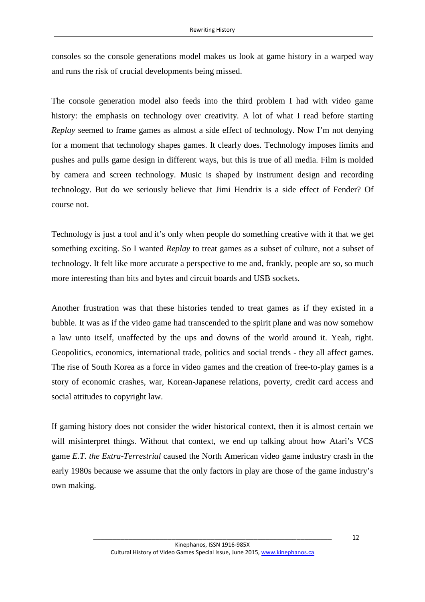consoles so the console generations model makes us look at game history in a warped way and runs the risk of crucial developments being missed.

The console generation model also feeds into the third problem I had with video game history: the emphasis on technology over creativity. A lot of what I read before starting *Replay* seemed to frame games as almost a side effect of technology. Now I'm not denying for a moment that technology shapes games. It clearly does. Technology imposes limits and pushes and pulls game design in different ways, but this is true of all media. Film is molded by camera and screen technology. Music is shaped by instrument design and recording technology. But do we seriously believe that Jimi Hendrix is a side effect of Fender? Of course not.

Technology is just a tool and it's only when people do something creative with it that we get something exciting. So I wanted *Replay* to treat games as a subset of culture, not a subset of technology. It felt like more accurate a perspective to me and, frankly, people are so, so much more interesting than bits and bytes and circuit boards and USB sockets.

Another frustration was that these histories tended to treat games as if they existed in a bubble. It was as if the video game had transcended to the spirit plane and was now somehow a law unto itself, unaffected by the ups and downs of the world around it. Yeah, right. Geopolitics, economics, international trade, politics and social trends - they all affect games. The rise of South Korea as a force in video games and the creation of free-to-play games is a story of economic crashes, war, Korean-Japanese relations, poverty, credit card access and social attitudes to copyright law.

If gaming history does not consider the wider historical context, then it is almost certain we will misinterpret things. Without that context, we end up talking about how Atari's VCS game *E.T. the Extra-Terrestrial* caused the North American video game industry crash in the early 1980s because we assume that the only factors in play are those of the game industry's own making.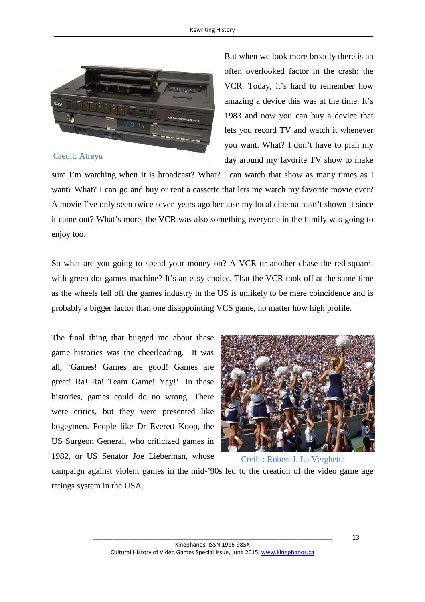

#### Credit: Atreyu

But when we look more broadly there is an often overlooked factor in the crash: the VCR. Today, it's hard to remember how amazing a device this was at the time. It's 1983 and now you can buy a device that lets you record TV and watch it whenever you want. What? I don't have to plan my day around my favorite TV show to make

sure I'm watching when it is broadcast? What? I can watch that show as many times as I want? What? I can go and buy or rent a cassette that lets me watch my favorite movie ever? A movie I've only seen twice seven years ago because my local cinema hasn't shown it since it came out? What's more, the VCR was also something everyone in the family was going to enjoy too.

So what are you going to spend your money on? A VCR or another chase the red-squarewith-green-dot games machine? It's an easy choice. That the VCR took off at the same time as the wheels fell off the games industry in the US is unlikely to be mere coincidence and is probably a bigger factor than one disappointing VCS game, no matter how high profile.

The final thing that bugged me about these game histories was the cheerleading. It was all, 'Games! Games are good! Games are great! Ra! Ra! Team Game! Yay!'. In these histories, games could do no wrong. There were critics, but they were presented like bogeymen. People like Dr Everett Koop, the US Surgeon General, who criticized games in 1982, or US Senator Joe Lieberman, whose



Credit: Robert J. La Verghetta

campaign against violent games in the mid-'90s led to the creation of the video game age ratings system in the USA.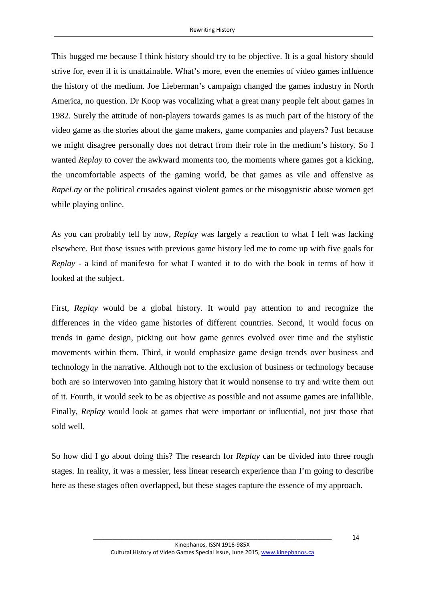This bugged me because I think history should try to be objective. It is a goal history should strive for, even if it is unattainable. What's more, even the enemies of video games influence the history of the medium. Joe Lieberman's campaign changed the games industry in North America, no question. Dr Koop was vocalizing what a great many people felt about games in 1982. Surely the attitude of non-players towards games is as much part of the history of the video game as the stories about the game makers, game companies and players? Just because we might disagree personally does not detract from their role in the medium's history. So I wanted *Replay* to cover the awkward moments too, the moments where games got a kicking, the uncomfortable aspects of the gaming world, be that games as vile and offensive as *RapeLay* or the political crusades against violent games or the misogynistic abuse women get while playing online.

As you can probably tell by now, *Replay* was largely a reaction to what I felt was lacking elsewhere. But those issues with previous game history led me to come up with five goals for *Replay* - a kind of manifesto for what I wanted it to do with the book in terms of how it looked at the subject.

First, *Replay* would be a global history. It would pay attention to and recognize the differences in the video game histories of different countries. Second, it would focus on trends in game design, picking out how game genres evolved over time and the stylistic movements within them. Third, it would emphasize game design trends over business and technology in the narrative. Although not to the exclusion of business or technology because both are so interwoven into gaming history that it would nonsense to try and write them out of it. Fourth, it would seek to be as objective as possible and not assume games are infallible. Finally, *Replay* would look at games that were important or influential, not just those that sold well.

So how did I go about doing this? The research for *Replay* can be divided into three rough stages. In reality, it was a messier, less linear research experience than I'm going to describe here as these stages often overlapped, but these stages capture the essence of my approach.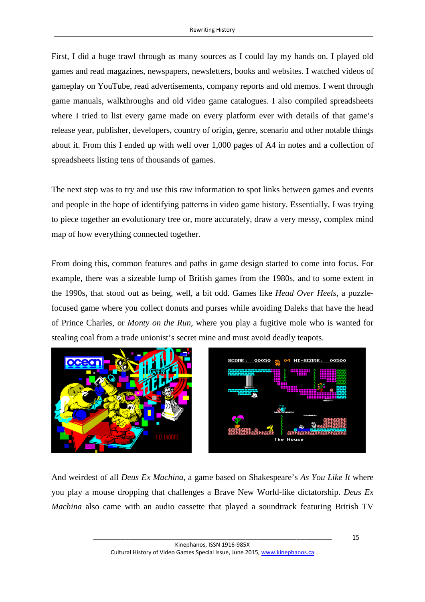First, I did a huge trawl through as many sources as I could lay my hands on. I played old games and read magazines, newspapers, newsletters, books and websites. I watched videos of gameplay on YouTube, read advertisements, company reports and old memos. I went through game manuals, walkthroughs and old video game catalogues. I also compiled spreadsheets where I tried to list every game made on every platform ever with details of that game's release year, publisher, developers, country of origin, genre, scenario and other notable things about it. From this I ended up with well over 1,000 pages of A4 in notes and a collection of spreadsheets listing tens of thousands of games.

The next step was to try and use this raw information to spot links between games and events and people in the hope of identifying patterns in video game history. Essentially, I was trying to piece together an evolutionary tree or, more accurately, draw a very messy, complex mind map of how everything connected together.

From doing this, common features and paths in game design started to come into focus. For example, there was a sizeable lump of British games from the 1980s, and to some extent in the 1990s, that stood out as being, well, a bit odd. Games like *Head Over Heels*, a puzzlefocused game where you collect donuts and purses while avoiding Daleks that have the head of Prince Charles, or *Monty on the Run*, where you play a fugitive mole who is wanted for stealing coal from a trade unionist's secret mine and must avoid deadly teapots.





And weirdest of all *Deus Ex Machina*, a game based on Shakespeare's *As You Like It* where you play a mouse dropping that challenges a Brave New World-like dictatorship. *Deus Ex Machina* also came with an audio cassette that played a soundtrack featuring British TV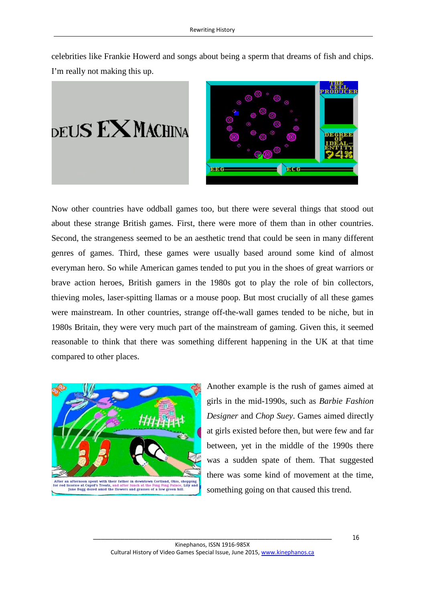celebrities like Frankie Howerd and songs about being a sperm that dreams of fish and chips. I'm really not making this up.

 $_{\rm DEUS}$  EX Machina



Now other countries have oddball games too, but there were several things that stood out about these strange British games. First, there were more of them than in other countries. Second, the strangeness seemed to be an aesthetic trend that could be seen in many different genres of games. Third, these games were usually based around some kind of almost everyman hero. So while American games tended to put you in the shoes of great warriors or brave action heroes, British gamers in the 1980s got to play the role of bin collectors, thieving moles, laser-spitting llamas or a mouse poop. But most crucially of all these games were mainstream. In other countries, strange off-the-wall games tended to be niche, but in 1980s Britain, they were very much part of the mainstream of gaming. Given this, it seemed reasonable to think that there was something different happening in the UK at that time compared to other places.



Another example is the rush of games aimed at girls in the mid-1990s, such as *Barbie Fashion Designer* and *Chop Suey*. Games aimed directly at girls existed before then, but were few and far between, yet in the middle of the 1990s there was a sudden spate of them. That suggested there was some kind of movement at the time, something going on that caused this trend.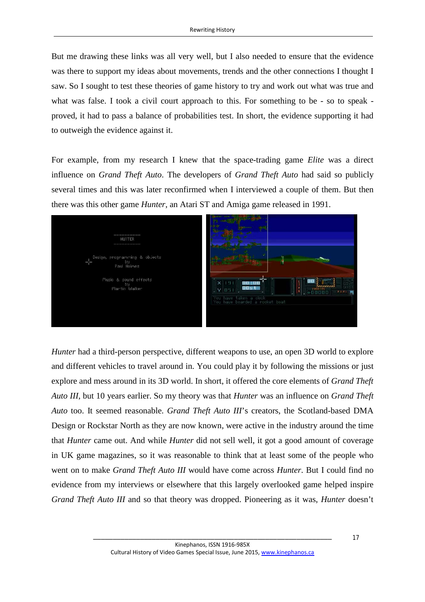But me drawing these links was all very well, but I also needed to ensure that the evidence was there to support my ideas about movements, trends and the other connections I thought I saw. So I sought to test these theories of game history to try and work out what was true and what was false. I took a civil court approach to this. For something to be - so to speak proved, it had to pass a balance of probabilities test. In short, the evidence supporting it had to outweigh the evidence against it.

For example, from my research I knew that the space-trading game *Elite* was a direct influence on *Grand Theft Auto*. The developers of *Grand Theft Auto* had said so publicly several times and this was later reconfirmed when I interviewed a couple of them. But then there was this other game *Hunter*, an Atari ST and Amiga game released in 1991.



*Hunter* had a third-person perspective, different weapons to use, an open 3D world to explore and different vehicles to travel around in. You could play it by following the missions or just explore and mess around in its 3D world. In short, it offered the core elements of *Grand Theft Auto III*, but 10 years earlier. So my theory was that *Hunter* was an influence on *Grand Theft Auto* too. It seemed reasonable. *Grand Theft Auto III*'s creators, the Scotland-based DMA Design or Rockstar North as they are now known, were active in the industry around the time that *Hunter* came out. And while *Hunter* did not sell well, it got a good amount of coverage in UK game magazines, so it was reasonable to think that at least some of the people who went on to make *Grand Theft Auto III* would have come across *Hunter*. But I could find no evidence from my interviews or elsewhere that this largely overlooked game helped inspire *Grand Theft Auto III* and so that theory was dropped. Pioneering as it was, *Hunter* doesn't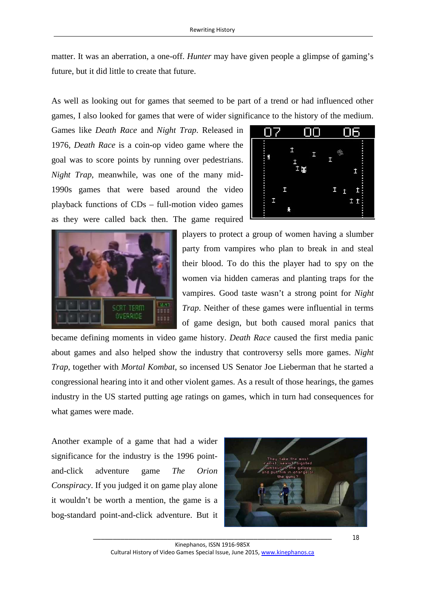matter. It was an aberration, a one-off. *Hunter* may have given people a glimpse of gaming's future, but it did little to create that future.

As well as looking out for games that seemed to be part of a trend or had influenced other games, I also looked for games that were of wider significance to the history of the medium.

Games like *Death Race* and *Night Trap*. Released in 1976, *Death Race* is a coin-op video game where the goal was to score points by running over pedestrians. *Night Trap*, meanwhile, was one of the many mid-1990s games that were based around the video playback functions of CDs – full-motion video games as they were called back then. The game required





players to protect a group of women having a slumber party from vampires who plan to break in and steal their blood. To do this the player had to spy on the women via hidden cameras and planting traps for the vampires. Good taste wasn't a strong point for *Night Trap*. Neither of these games were influential in terms of game design, but both caused moral panics that

became defining moments in video game history. *Death Race* caused the first media panic about games and also helped show the industry that controversy sells more games. *Night Trap*, together with *Mortal Kombat*, so incensed US Senator Joe Lieberman that he started a congressional hearing into it and other violent games. As a result of those hearings, the games industry in the US started putting age ratings on games, which in turn had consequences for what games were made.

Another example of a game that had a wider significance for the industry is the 1996 pointand-click adventure game *The Orion Conspiracy*. If you judged it on game play alone it wouldn't be worth a mention, the game is a bog-standard point-and-click adventure. But it

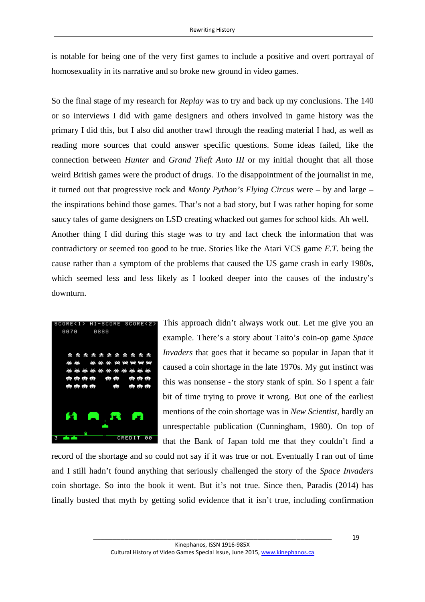is notable for being one of the very first games to include a positive and overt portrayal of homosexuality in its narrative and so broke new ground in video games.

So the final stage of my research for *Replay* was to try and back up my conclusions. The 140 or so interviews I did with game designers and others involved in game history was the primary I did this, but I also did another trawl through the reading material I had, as well as reading more sources that could answer specific questions. Some ideas failed, like the connection between *Hunter* and *Grand Theft Auto III* or my initial thought that all those weird British games were the product of drugs. To the disappointment of the journalist in me, it turned out that progressive rock and *Monty Python's Flying Circus* were – by and large – the inspirations behind those games. That's not a bad story, but I was rather hoping for some saucy tales of game designers on LSD creating whacked out games for school kids. Ah well. Another thing I did during this stage was to try and fact check the information that was contradictory or seemed too good to be true. Stories like the Atari VCS game *E.T.* being the cause rather than a symptom of the problems that caused the US game crash in early 1980s, which seemed less and less likely as I looked deeper into the causes of the industry's downturn.



This approach didn't always work out. Let me give you an example. There's a story about Taito's coin-op game *Space Invaders* that goes that it became so popular in Japan that it caused a coin shortage in the late 1970s. My gut instinct was this was nonsense - the story stank of spin. So I spent a fair bit of time trying to prove it wrong. But one of the earliest mentions of the coin shortage was in *New Scientist*, hardly an unrespectable publication (Cunningham, 1980). On top of that the Bank of Japan told me that they couldn't find a

record of the shortage and so could not say if it was true or not. Eventually I ran out of time and I still hadn't found anything that seriously challenged the story of the *Space Invaders* coin shortage. So into the book it went. But it's not true. Since then, Paradis (2014) has finally busted that myth by getting solid evidence that it isn't true, including confirmation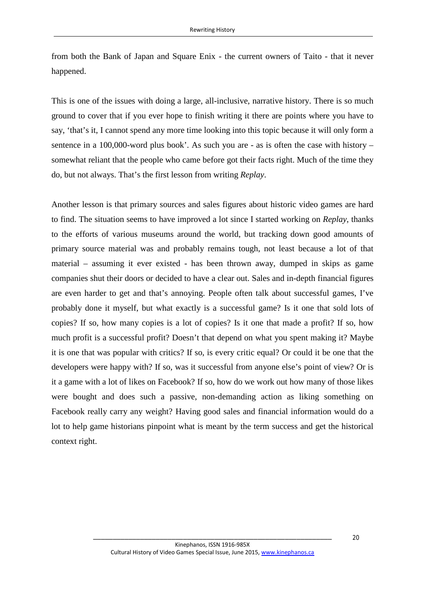from both the Bank of Japan and Square Enix - the current owners of Taito - that it never happened.

This is one of the issues with doing a large, all-inclusive, narrative history. There is so much ground to cover that if you ever hope to finish writing it there are points where you have to say, 'that's it, I cannot spend any more time looking into this topic because it will only form a sentence in a 100,000-word plus book'. As such you are - as is often the case with history – somewhat reliant that the people who came before got their facts right. Much of the time they do, but not always. That's the first lesson from writing *Replay*.

Another lesson is that primary sources and sales figures about historic video games are hard to find. The situation seems to have improved a lot since I started working on *Replay*, thanks to the efforts of various museums around the world, but tracking down good amounts of primary source material was and probably remains tough, not least because a lot of that material – assuming it ever existed - has been thrown away, dumped in skips as game companies shut their doors or decided to have a clear out. Sales and in-depth financial figures are even harder to get and that's annoying. People often talk about successful games, I've probably done it myself, but what exactly is a successful game? Is it one that sold lots of copies? If so, how many copies is a lot of copies? Is it one that made a profit? If so, how much profit is a successful profit? Doesn't that depend on what you spent making it? Maybe it is one that was popular with critics? If so, is every critic equal? Or could it be one that the developers were happy with? If so, was it successful from anyone else's point of view? Or is it a game with a lot of likes on Facebook? If so, how do we work out how many of those likes were bought and does such a passive, non-demanding action as liking something on Facebook really carry any weight? Having good sales and financial information would do a lot to help game historians pinpoint what is meant by the term success and get the historical context right.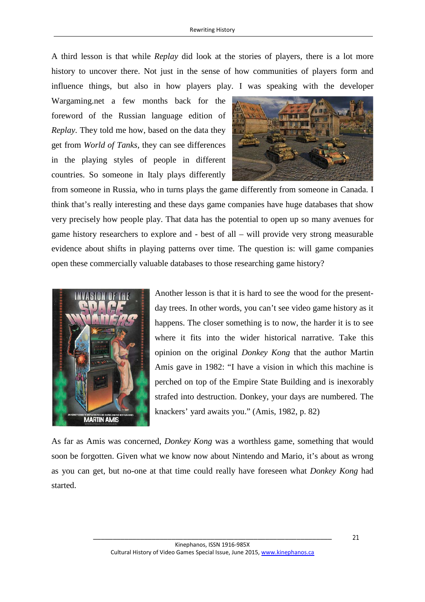A third lesson is that while *Replay* did look at the stories of players, there is a lot more history to uncover there. Not just in the sense of how communities of players form and influence things, but also in how players play. I was speaking with the developer

Wargaming.net a few months back for the foreword of the Russian language edition of *Replay*. They told me how, based on the data they get from *World of Tanks*, they can see differences in the playing styles of people in different countries. So someone in Italy plays differently



from someone in Russia, who in turns plays the game differently from someone in Canada. I think that's really interesting and these days game companies have huge databases that show very precisely how people play. That data has the potential to open up so many avenues for game history researchers to explore and - best of all – will provide very strong measurable evidence about shifts in playing patterns over time. The question is: will game companies open these commercially valuable databases to those researching game history?



Another lesson is that it is hard to see the wood for the presentday trees. In other words, you can't see video game history as it happens. The closer something is to now, the harder it is to see where it fits into the wider historical narrative. Take this opinion on the original *Donkey Kong* that the author Martin Amis gave in 1982: "I have a vision in which this machine is perched on top of the Empire State Building and is inexorably strafed into destruction. Donkey, your days are numbered. The knackers' yard awaits you." (Amis, 1982, p. 82)

As far as Amis was concerned, *Donkey Kong* was a worthless game, something that would soon be forgotten. Given what we know now about Nintendo and Mario, it's about as wrong as you can get, but no-one at that time could really have foreseen what *Donkey Kong* had started.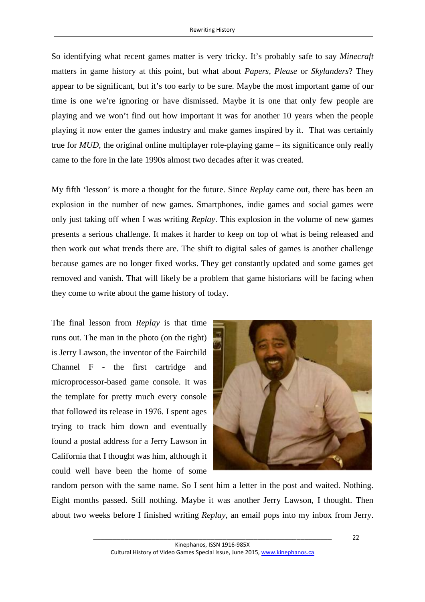So identifying what recent games matter is very tricky. It's probably safe to say *Minecraft* matters in game history at this point, but what about *Papers, Please* or *Skylanders*? They appear to be significant, but it's too early to be sure. Maybe the most important game of our time is one we're ignoring or have dismissed. Maybe it is one that only few people are playing and we won't find out how important it was for another 10 years when the people playing it now enter the games industry and make games inspired by it. That was certainly true for *MUD*, the original online multiplayer role-playing game – its significance only really came to the fore in the late 1990s almost two decades after it was created.

My fifth 'lesson' is more a thought for the future. Since *Replay* came out, there has been an explosion in the number of new games. Smartphones, indie games and social games were only just taking off when I was writing *Replay*. This explosion in the volume of new games presents a serious challenge. It makes it harder to keep on top of what is being released and then work out what trends there are. The shift to digital sales of games is another challenge because games are no longer fixed works. They get constantly updated and some games get removed and vanish. That will likely be a problem that game historians will be facing when they come to write about the game history of today.

The final lesson from *Replay* is that time runs out. The man in the photo (on the right) is Jerry Lawson, the inventor of the Fairchild Channel F - the first cartridge and microprocessor-based game console. It was the template for pretty much every console that followed its release in 1976. I spent ages trying to track him down and eventually found a postal address for a Jerry Lawson in California that I thought was him, although it could well have been the home of some



random person with the same name. So I sent him a letter in the post and waited. Nothing. Eight months passed. Still nothing. Maybe it was another Jerry Lawson, I thought. Then about two weeks before I finished writing *Replay*, an email pops into my inbox from Jerry.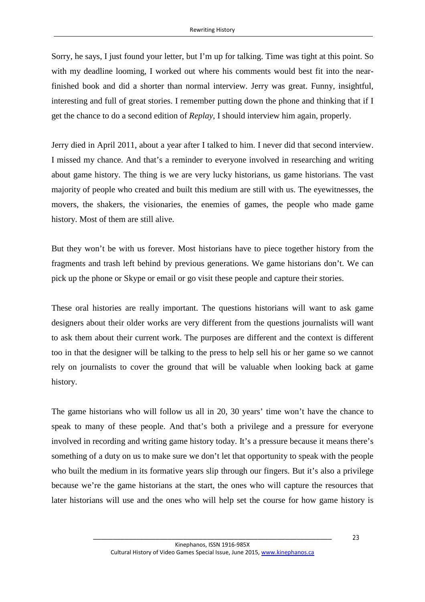Sorry, he says, I just found your letter, but I'm up for talking. Time was tight at this point. So with my deadline looming, I worked out where his comments would best fit into the nearfinished book and did a shorter than normal interview. Jerry was great. Funny, insightful, interesting and full of great stories. I remember putting down the phone and thinking that if I get the chance to do a second edition of *Replay*, I should interview him again, properly.

Jerry died in April 2011, about a year after I talked to him. I never did that second interview. I missed my chance. And that's a reminder to everyone involved in researching and writing about game history. The thing is we are very lucky historians, us game historians. The vast majority of people who created and built this medium are still with us. The eyewitnesses, the movers, the shakers, the visionaries, the enemies of games, the people who made game history. Most of them are still alive.

But they won't be with us forever. Most historians have to piece together history from the fragments and trash left behind by previous generations. We game historians don't. We can pick up the phone or Skype or email or go visit these people and capture their stories.

These oral histories are really important. The questions historians will want to ask game designers about their older works are very different from the questions journalists will want to ask them about their current work. The purposes are different and the context is different too in that the designer will be talking to the press to help sell his or her game so we cannot rely on journalists to cover the ground that will be valuable when looking back at game history.

The game historians who will follow us all in 20, 30 years' time won't have the chance to speak to many of these people. And that's both a privilege and a pressure for everyone involved in recording and writing game history today. It's a pressure because it means there's something of a duty on us to make sure we don't let that opportunity to speak with the people who built the medium in its formative years slip through our fingers. But it's also a privilege because we're the game historians at the start, the ones who will capture the resources that later historians will use and the ones who will help set the course for how game history is